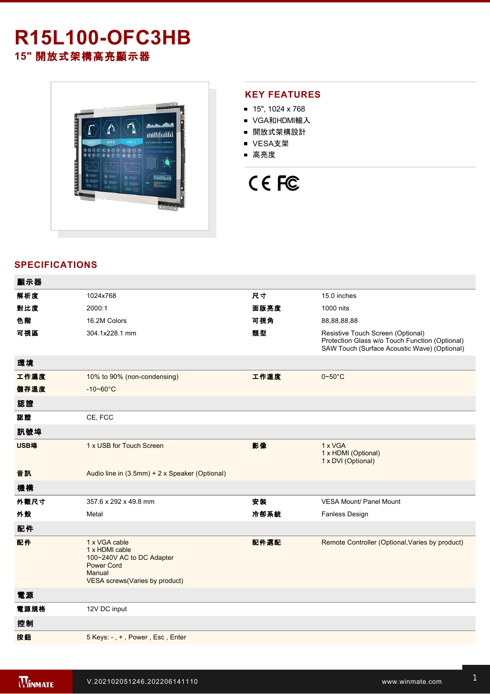## **R15L100-OFC3HB 15"** 開放式架構高亮顯示器



#### **KEY FEATURES**

- $15"$ , 1024 x 768
- VGA和HDMI輸入
- 開放式架構設計
- VESA支架
- 高亮度

# CE FC

### **SPECIFICATIONS**

| 顯示器  |                                                                                                                               |      |                                                                                                                                     |
|------|-------------------------------------------------------------------------------------------------------------------------------|------|-------------------------------------------------------------------------------------------------------------------------------------|
| 解析度  | 1024x768                                                                                                                      | 尺寸   | 15.0 inches                                                                                                                         |
| 對比度  | 2000:1                                                                                                                        | 面版亮度 | 1000 nits                                                                                                                           |
| 色階   | 16.2M Colors                                                                                                                  | 可視角  | 88,88,88,88                                                                                                                         |
| 可視區  | 304.1x228.1 mm                                                                                                                | 類型   | Resistive Touch Screen (Optional)<br>Protection Glass w/o Touch Function (Optional)<br>SAW Touch (Surface Acoustic Wave) (Optional) |
| 環境   |                                                                                                                               |      |                                                                                                                                     |
| 工作濕度 | 10% to 90% (non-condensing)                                                                                                   | 工作溫度 | $0 - 50$ °C                                                                                                                         |
| 儲存溫度 | $-10 - 60^{\circ}C$                                                                                                           |      |                                                                                                                                     |
| 認證   |                                                                                                                               |      |                                                                                                                                     |
| 認證   | CE, FCC                                                                                                                       |      |                                                                                                                                     |
| 訊號埠  |                                                                                                                               |      |                                                                                                                                     |
| USB埠 | 1 x USB for Touch Screen                                                                                                      | 影像   | 1 x VGA<br>1 x HDMI (Optional)<br>1 x DVI (Optional)                                                                                |
| 音訊   | Audio line in (3.5mm) + 2 x Speaker (Optional)                                                                                |      |                                                                                                                                     |
| 機構   |                                                                                                                               |      |                                                                                                                                     |
| 外觀尺寸 | 357.6 x 292 x 49.8 mm                                                                                                         | 安装   | <b>VESA Mount/ Panel Mount</b>                                                                                                      |
| 外殼   | Metal                                                                                                                         | 冷卻系統 | Fanless Design                                                                                                                      |
| 配件   |                                                                                                                               |      |                                                                                                                                     |
| 配件   | 1 x VGA cable<br>1 x HDMI cable<br>100~240V AC to DC Adapter<br><b>Power Cord</b><br>Manual<br>VESA screws(Varies by product) | 配件選配 | Remote Controller (Optional, Varies by product)                                                                                     |
| 電源   |                                                                                                                               |      |                                                                                                                                     |
| 電源規格 | 12V DC input                                                                                                                  |      |                                                                                                                                     |
| 控制   |                                                                                                                               |      |                                                                                                                                     |
| 按鈕   | 5 Keys: -, +, Power, Esc, Enter                                                                                               |      |                                                                                                                                     |
|      |                                                                                                                               |      |                                                                                                                                     |

**DIMENSIONS**  UNIT:MM